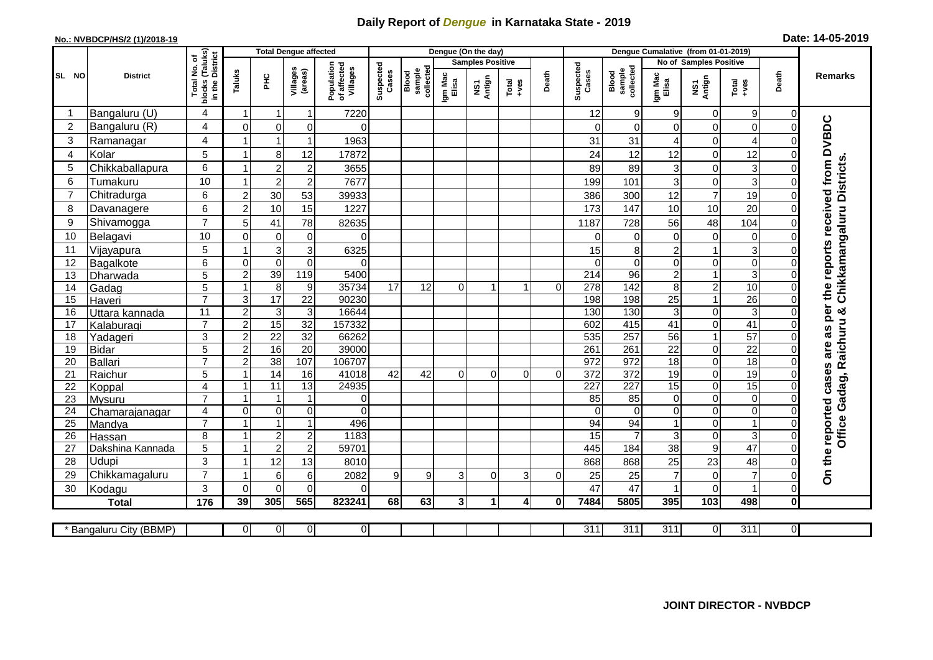## **Daily Report of** *Dengue* **in Karnataka State - 2019**

## **No.: NVBDCP/HS/2 (1)/2018-19**

| Date: 14-05-2019 |  |  |  |  |
|------------------|--|--|--|--|
|------------------|--|--|--|--|

|                |                            |                                           | <b>Total Dengue affected</b> |                                |                             |                                       |                    | Dengue (On the day)          |                  |                         | Dengue Cumalative (from 01-01-2019) |                |                    |                              |                         |                                  |                         |                |                                        |
|----------------|----------------------------|-------------------------------------------|------------------------------|--------------------------------|-----------------------------|---------------------------------------|--------------------|------------------------------|------------------|-------------------------|-------------------------------------|----------------|--------------------|------------------------------|-------------------------|----------------------------------|-------------------------|----------------|----------------------------------------|
|                |                            | (Taluks)<br>District<br>৳                 |                              |                                |                             |                                       |                    |                              |                  | <b>Samples Positive</b> |                                     |                |                    |                              |                         | No of Samples Positive           |                         |                |                                        |
| SL NO          | <b>District</b>            | Total No.<br>blocks<br>in the             | Taluks                       | 옾                              | Villages<br>(areas)         | Population<br>of affected<br>Villages | Suspected<br>Cases | collected<br>Blood<br>sample | Igm Mac<br>Elisa | Antign<br>ŠΝ            | Total<br>+ves                       | Death          | Suspected<br>Cases | Blood<br>sample<br>collected | Igm Mac<br>Elisa        | NS1<br>Antign                    | Total<br>+ves           | Death          | <b>Remarks</b>                         |
|                | Bangaluru (U)              | 4                                         | 1                            | 1                              | $\mathbf{1}$                | 7220                                  |                    |                              |                  |                         |                                     |                | 12                 | 9                            | 9                       | 0                                | 9                       | 0              |                                        |
| $\sqrt{2}$     | Bangaluru (R)              | $\overline{4}$                            | $\mathbf 0$                  | 0                              | $\mathbf 0$                 | $\Omega$                              |                    |                              |                  |                         |                                     |                | $\overline{0}$     | $\mathbf 0$                  | $\Omega$                | $\mathbf 0$                      | $\Omega$                | 0              | as per the reports received from DVBDC |
| 3              | Ramanagar                  | $\overline{4}$                            | 1                            | 1                              | $\mathbf{1}$                | 1963                                  |                    |                              |                  |                         |                                     |                | 31                 | 31                           | 4                       | $\mathbf 0$                      | 4                       |                |                                        |
| $\overline{4}$ | Kolar                      | 5                                         | $\mathbf{1}$                 | 8                              | 12                          | 17872                                 |                    |                              |                  |                         |                                     |                | 24                 | 12                           | 12                      | $\mathbf 0$                      | 12                      |                |                                        |
| 5              | Chikkaballapura            | 6                                         | 1                            | $\sqrt{2}$                     | $\overline{c}$              | 3655                                  |                    |                              |                  |                         |                                     |                | 89                 | 89                           | 3                       | 0                                | 3                       |                |                                        |
| 6              | Tumakuru                   | 10                                        | 1                            | $\overline{2}$                 | $\overline{c}$              | 7677                                  |                    |                              |                  |                         |                                     |                | 199                | 101                          | $\mathbf{3}$            | $\mathbf 0$                      | 3                       |                |                                        |
| 7              | Chitradurga                | 6                                         | $\boldsymbol{2}$             | 30                             | 53                          | 39933                                 |                    |                              |                  |                         |                                     |                | 386                | 300                          | 12                      | $\overline{7}$                   | 19                      | 0              |                                        |
| 8              | Davanagere                 | 6                                         | $\overline{c}$               | 10                             | 15                          | 1227                                  |                    |                              |                  |                         |                                     |                | 173                | 147                          | 10                      | 10                               | 20                      | 0              |                                        |
| 9              | Shivamogga                 | $\overline{7}$                            | 5                            | 41                             | 78                          | 82635                                 |                    |                              |                  |                         |                                     |                | 1187               | 728                          | 56                      | 48                               | 104                     |                | Chikkamangaluru Districts              |
| 10             | Belagavi                   | 10                                        | 0                            | $\mathbf 0$                    | 0                           | $\Omega$                              |                    |                              |                  |                         |                                     |                | 0                  | 0                            | $\mathbf 0$             | $\mathbf 0$                      | $\Omega$                |                |                                        |
| 11             | Vijayapura                 | 5                                         | 1                            | $\overline{3}$                 | $\mathsf 3$                 | 6325                                  |                    |                              |                  |                         |                                     |                | 15                 | 8                            | $\overline{c}$          | $\overline{1}$                   | 3                       |                |                                        |
| 12             | Bagalkote                  | 6                                         | $\Omega$                     | $\overline{0}$                 | $\mathbf 0$                 | $\Omega$                              |                    |                              |                  |                         |                                     |                | $\Omega$           | $\Omega$                     | $\Omega$                | $\Omega$                         | $\Omega$                |                |                                        |
| 13             | Dharwada                   | 5                                         | $\overline{2}$               | 39                             | 119                         | 5400                                  |                    |                              |                  |                         |                                     |                | $\overline{214}$   | 96                           | $\overline{c}$          | $\mathbf{1}$                     | 3                       |                |                                        |
| 14             | Gadag                      | 5                                         | $\mathbf{1}$                 | $\overline{8}$                 | 9                           | 35734                                 | 17                 | 12                           | $\Omega$         | 1                       | 1                                   | $\Omega$       | 278                | 142                          | 8                       | $\boldsymbol{2}$                 | 10                      | ი              |                                        |
| 15             | Haveri                     | $\overline{7}$                            | 3                            | 17                             | $\overline{22}$             | 90230                                 |                    |                              |                  |                         |                                     |                | 198                | 198                          | $\overline{25}$         | $\mathbf{1}$                     | $\overline{26}$         | O              |                                        |
| 16             | Uttara kannada             | $\overline{11}$                           | $\overline{c}$               | $\ensuremath{\mathsf{3}}$      | $\sqrt{3}$                  | 16644                                 |                    |                              |                  |                         |                                     |                | 130                | 130                          | 3                       | $\Omega$                         | 3                       | 0              |                                        |
| 17             | Kalaburagi                 | $\overline{7}$                            | $\overline{2}$               | 15                             | $\overline{32}$             | 157332                                |                    |                              |                  |                         |                                     |                | 602                | 415                          | $\overline{41}$         | $\overline{0}$                   | 41                      | 0              |                                        |
| 18             | Yadageri                   | 3                                         | $\overline{2}$               | $\overline{22}$                | $\overline{32}$             | 66262                                 |                    |                              |                  |                         |                                     |                | 535                | 257                          | 56                      | $\mathbf{1}$                     | $\overline{57}$         |                |                                        |
| 19             | Bidar                      | 5                                         | $\overline{2}$               | 16                             | $\overline{20}$             | 39000                                 |                    |                              |                  |                         |                                     |                | 261                | 261                          | $\overline{22}$         | 0                                | $\overline{22}$         | O              | are                                    |
| 20             | Ballari                    | $\overline{7}$                            | $\overline{c}$               | 38                             | 107                         | 106707                                |                    |                              |                  |                         |                                     |                | 972                | 972                          | $\overline{18}$         | 0                                | 18                      | ∩              |                                        |
| 21             | Raichur                    | 5                                         | $\mathbf{1}$                 | 14                             | 16                          | 41018                                 | $\overline{42}$    | $\overline{42}$              | $\Omega$         | $\mathbf 0$             | $\Omega$                            | $\overline{0}$ | 372                | 372                          | 19                      | $\Omega$                         | 19                      | 0              | Gadag, Raichuru &                      |
| 22             | Koppal                     | $\overline{\mathbf{4}}$<br>$\overline{7}$ | 1                            | 11                             | 13                          | 24935                                 |                    |                              |                  |                         |                                     |                | 227                | 227                          | 15                      | $\mathbf 0$                      | 15                      | 0              |                                        |
| 23             | Mysuru                     |                                           | $\mathbf{1}$<br>$\Omega$     | $\mathbf{1}$<br>$\overline{0}$ | $\mathbf{1}$<br>$\mathbf 0$ | $\overline{0}$<br>$\overline{0}$      |                    |                              |                  |                         |                                     |                | 85<br>$\Omega$     | 85<br>$\mathbf 0$            | $\mathbf 0$<br>$\Omega$ | $\overline{0}$<br>$\overline{0}$ | $\mathbf 0$<br>$\Omega$ | 0              |                                        |
| 24<br>25       | Chamarajanagar             | $\overline{4}$<br>$\overline{7}$          | $\mathbf{1}$                 | $\mathbf{1}$                   | $\mathbf{1}$                | 496                                   |                    |                              |                  |                         |                                     |                | 94                 | 94                           | 1                       | 0                                |                         | 0              |                                        |
| 26             | Mandya                     | 8                                         | $\mathbf{1}$                 | $\boldsymbol{2}$               | $\overline{c}$              | 1183                                  |                    |                              |                  |                         |                                     |                | 15                 | $\overline{7}$               | 3                       | $\mathbf{0}$                     | 3                       | $\Omega$       | Office                                 |
| 27             | Hassan<br>Dakshina Kannada | 5                                         | $\mathbf{1}$                 | $\overline{2}$                 | $\overline{c}$              | 59701                                 |                    |                              |                  |                         |                                     |                | 445                | 184                          | 38                      | 9                                | 47                      |                |                                        |
| 28             | <b>Udupi</b>               | 3                                         | 1                            | 12                             | 13                          | 8010                                  |                    |                              |                  |                         |                                     |                | 868                | 868                          | 25                      | 23                               | 48                      |                |                                        |
| 29             | Chikkamagaluru             | $\overline{7}$                            | 1                            | $\,6$                          | 6                           | 2082                                  | 9                  | 9                            | 3                | $\Omega$                | 3                                   | O              | 25                 | 25                           | $\overline{7}$          | $\mathbf 0$                      | $\overline{7}$          |                | On the reported cases                  |
| 30             | Kodagu                     | 3                                         | $\Omega$                     | $\Omega$                       | $\Omega$                    | $\Omega$                              |                    |                              |                  |                         |                                     |                | 47                 | 47                           | 1                       | $\Omega$                         |                         | $\Omega$       |                                        |
|                | <b>Total</b>               | 176                                       | 39                           | 305                            | 565                         | 823241                                | 68                 | 63                           | 3                | $\blacktriangleleft$    | 4                                   | $\mathbf{0}$   | 7484               | 5805                         | 395                     | $\frac{1}{103}$                  | 498                     | $\mathbf{0}$   |                                        |
|                |                            |                                           |                              |                                |                             |                                       |                    |                              |                  |                         |                                     |                |                    |                              |                         |                                  |                         |                |                                        |
|                | * Bangaluru City (BBMP)    |                                           | $\overline{0}$               | $\overline{0}$                 | $\overline{0}$              | $\overline{0}$                        |                    |                              |                  |                         |                                     |                | 311                | 311                          | $\overline{311}$        | $\overline{0}$                   | 311                     | $\overline{0}$ |                                        |